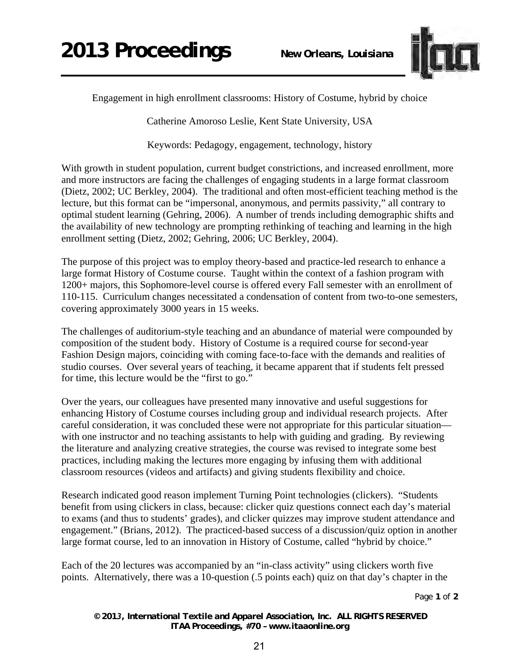

Engagement in high enrollment classrooms: History of Costume, hybrid by choice

Catherine Amoroso Leslie, Kent State University, USA

Keywords: Pedagogy, engagement, technology, history

With growth in student population, current budget constrictions, and increased enrollment, more and more instructors are facing the challenges of engaging students in a large format classroom (Dietz, 2002; UC Berkley, 2004). The traditional and often most-efficient teaching method is the lecture, but this format can be "impersonal, anonymous, and permits passivity," all contrary to optimal student learning (Gehring, 2006). A number of trends including demographic shifts and the availability of new technology are prompting rethinking of teaching and learning in the high enrollment setting (Dietz, 2002; Gehring, 2006; UC Berkley, 2004).

The purpose of this project was to employ theory-based and practice-led research to enhance a large format History of Costume course. Taught within the context of a fashion program with 1200+ majors, this Sophomore-level course is offered every Fall semester with an enrollment of 110-115. Curriculum changes necessitated a condensation of content from two-to-one semesters, covering approximately 3000 years in 15 weeks.

The challenges of auditorium-style teaching and an abundance of material were compounded by composition of the student body. History of Costume is a required course for second-year Fashion Design majors, coinciding with coming face-to-face with the demands and realities of studio courses. Over several years of teaching, it became apparent that if students felt pressed for time, this lecture would be the "first to go."

Over the years, our colleagues have presented many innovative and useful suggestions for enhancing History of Costume courses including group and individual research projects. After careful consideration, it was concluded these were not appropriate for this particular situation with one instructor and no teaching assistants to help with guiding and grading. By reviewing the literature and analyzing creative strategies, the course was revised to integrate some best practices, including making the lectures more engaging by infusing them with additional classroom resources (videos and artifacts) and giving students flexibility and choice.

Research indicated good reason implement Turning Point technologies (clickers). "Students benefit from using clickers in class, because: clicker quiz questions connect each day's material to exams (and thus to students' grades), and clicker quizzes may improve student attendance and engagement." (Brians, 2012). The practiced-based success of a discussion/quiz option in another large format course, led to an innovation in History of Costume, called "hybrid by choice."

Each of the 20 lectures was accompanied by an "in-class activity" using clickers worth five points. Alternatively, there was a 10-question (.5 points each) quiz on that day's chapter in the

Page **1** of **2** 

*© 2013, International Textile and Apparel Association, Inc. ALL RIGHTS RESERVED ITAA Proceedings, #70 – www.itaaonline.org*